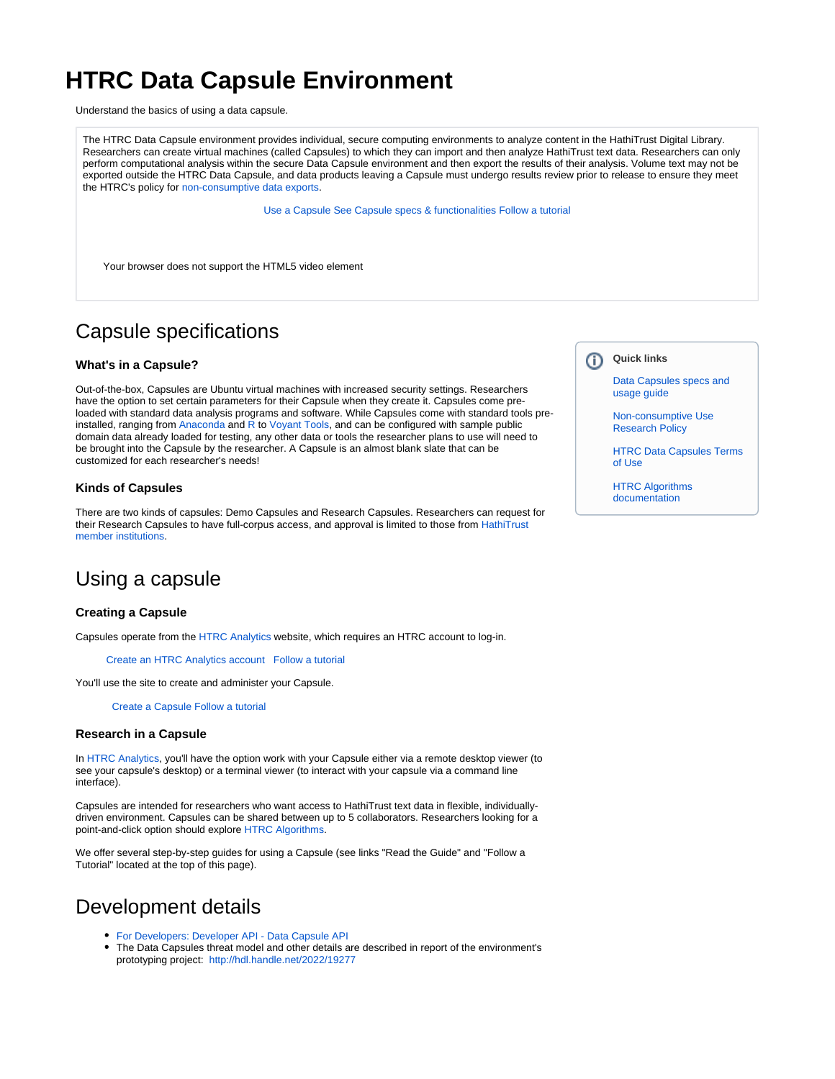# **HTRC Data Capsule Environment**

Understand the basics of using a data capsule.

The HTRC Data Capsule environment provides individual, secure computing environments to analyze content in the HathiTrust Digital Library. Researchers can create virtual machines (called Capsules) to which they can import and then analyze HathiTrust text data. Researchers can only perform computational analysis within the secure Data Capsule environment and then export the results of their analysis. Volume text may not be exported outside the HTRC Data Capsule, and data products leaving a Capsule must undergo results review prior to release to ensure they meet the HTRC's policy for [non-consumptive data exports.](https://www.hathitrust.org/htrc_ncup)

[Use a Capsule](https://analytics.hathitrust.org/staticcapsules) [See Capsule specs & functionalities](https://wiki.htrc.illinois.edu/display/COM/HTRC+Data+Capsule+Specifications+and+Usage+Guide) [Follow a tutorial](https://wiki.htrc.illinois.edu/display/COM/HTRC+Data+Capsule+Step-by-Step+Tutorials)

Your browser does not support the HTML5 video element

## Capsule specifications

#### **What's in a Capsule?**

Out-of-the-box, Capsules are Ubuntu virtual machines with increased security settings. Researchers have the option to set certain parameters for their Capsule when they create it. Capsules come preloaded with standard data analysis programs and software. While Capsules come with standard tools preinstalled, ranging from [Anaconda](https://conda.io/docs/) and [R](https://www.r-project.org/) to [Voyant Tools,](https://voyant-tools.org/) and can be configured with sample public domain data already loaded for testing, any other data or tools the researcher plans to use will need to be brought into the Capsule by the researcher. A Capsule is an almost blank slate that can be customized for each researcher's needs!

#### **Kinds of Capsules**

There are two kinds of capsules: Demo Capsules and Research Capsules. Researchers can request for their Research Capsules to have full-corpus access, and approval is limited to those from [HathiTrust](https://www.hathitrust.org/community)  [member institutions.](https://www.hathitrust.org/community)

### Using a capsule

#### **Creating a Capsule**

Capsules operate from the [HTRC Analytics](https://analytics.hathitrust.org/) website, which requires an HTRC account to log-in.

[Create an HTRC Analytics account](https://analytics.hathitrust.org/signuppage) [Follow a tutorial](https://wiki.htrc.illinois.edu/display/COM/HTRC+Data+Capsule+Tutorial)

You'll use the site to create and administer your Capsule.

 [Create a Capsule](https://analytics.hathitrust.org/staticcapsules) [Follow a tutorial](https://wiki.htrc.illinois.edu/display/COM/Create+or+convert+a+Capsule)

#### **Research in a Capsule**

In [HTRC Analytics,](https://analytics.hathitrust.org/) you'll have the option work with your Capsule either via a remote desktop viewer (to see your capsule's desktop) or a terminal viewer (to interact with your capsule via a command line interface).

Capsules are intended for researchers who want access to HathiTrust text data in flexible, individuallydriven environment. Capsules can be shared between up to 5 collaborators. Researchers looking for a point-and-click option should explore [HTRC Algorithms.](https://wiki.htrc.illinois.edu/display/COM/HTRC+Analytics+Algorithms)

We offer several step-by-step guides for using a Capsule (see links "Read the Guide" and "Follow a Tutorial" located at the top of this page).

### Development details

- [For Developers: Developer API Data Capsule API](https://wiki.htrc.illinois.edu/pages/viewpage.action?pageId=22085963)
- The Data Capsules threat model and other details are described in report of the environment's prototyping project: <http://hdl.handle.net/2022/19277>

#### **Quick links** O)

[Data Capsules specs and](https://wiki.htrc.illinois.edu/display/COM/HTRC+Data+Capsule+Specifications+and+Usage+Guide)  [usage guide](https://wiki.htrc.illinois.edu/display/COM/HTRC+Data+Capsule+Specifications+and+Usage+Guide)

[Non-consumptive Use](https://www.hathitrust.org/htrc_ncup)  [Research Policy](https://www.hathitrust.org/htrc_ncup)

[HTRC Data Capsules Terms](https://www.hathitrust.org/htrc_dc_tou)  [of Use](https://www.hathitrust.org/htrc_dc_tou)

[HTRC Algorithms](https://wiki.htrc.illinois.edu/display/COM/HTRC+Analytics+Algorithms)  [documentation](https://wiki.htrc.illinois.edu/display/COM/HTRC+Analytics+Algorithms)